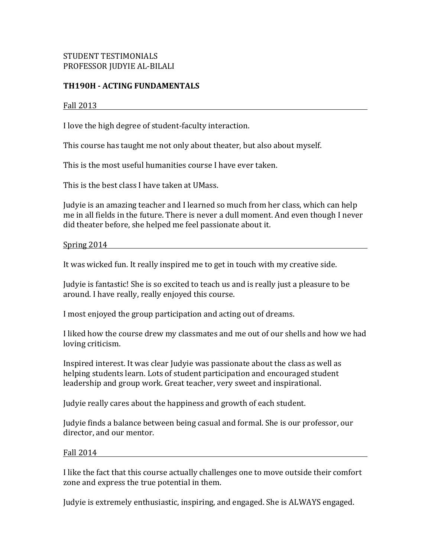# STUDENT TESTIMONIALS PROFESSOR JUDYIE AL-BILALI

# **TH190H - ACTING FUNDAMENTALS**

### $Fall 2013$

I love the high degree of student-faculty interaction.

This course has taught me not only about theater, but also about myself.

This is the most useful humanities course I have ever taken.

This is the best class I have taken at UMass.

Judyie is an amazing teacher and I learned so much from her class, which can help me in all fields in the future. There is never a dull moment. And even though I never did theater before, she helped me feel passionate about it.

Spring 2014

It was wicked fun. It really inspired me to get in touch with my creative side.

Judyie is fantastic! She is so excited to teach us and is really just a pleasure to be around. I have really, really enjoyed this course.

I most enjoyed the group participation and acting out of dreams.

I liked how the course drew my classmates and me out of our shells and how we had loving criticism.

Inspired interest. It was clear Judyie was passionate about the class as well as helping students learn. Lots of student participation and encouraged student leadership and group work. Great teacher, very sweet and inspirational.

Judyie really cares about the happiness and growth of each student.

Judyie finds a balance between being casual and formal. She is our professor, our director, and our mentor.

#### Fall 2014

I like the fact that this course actually challenges one to move outside their comfort zone and express the true potential in them.

Judyie is extremely enthusiastic, inspiring, and engaged. She is ALWAYS engaged.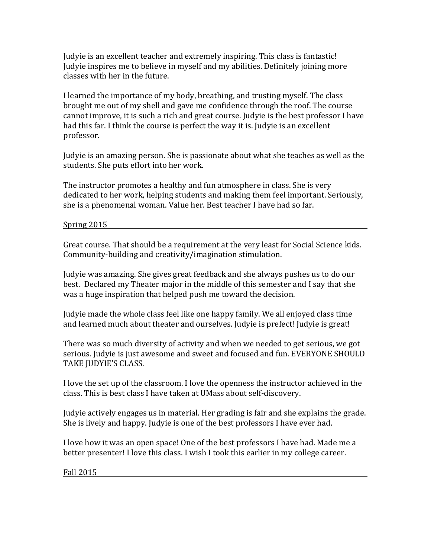Judyie is an excellent teacher and extremely inspiring. This class is fantastic! Judyie inspires me to believe in myself and my abilities. Definitely joining more classes with her in the future.

I learned the importance of my body, breathing, and trusting myself. The class brought me out of my shell and gave me confidence through the roof. The course cannot improve, it is such a rich and great course. Judyie is the best professor I have had this far. I think the course is perfect the way it is. Judyie is an excellent professor.

Judyie is an amazing person. She is passionate about what she teaches as well as the students. She puts effort into her work.

The instructor promotes a healthy and fun atmosphere in class. She is very dedicated to her work, helping students and making them feel important. Seriously, she is a phenomenal woman. Value her. Best teacher I have had so far.

## Spring 2015

Great course. That should be a requirement at the very least for Social Science kids. Community-building and creativity/imagination stimulation.

Judyie was amazing. She gives great feedback and she always pushes us to do our best. Declared my Theater major in the middle of this semester and I say that she was a huge inspiration that helped push me toward the decision.

Judyie made the whole class feel like one happy family. We all enjoyed class time and learned much about theater and ourselves. Judyie is prefect! Judyie is great!

There was so much diversity of activity and when we needed to get serious, we got serious. Judyie is just awesome and sweet and focused and fun. EVERYONE SHOULD TAKE JUDYIE'S CLASS.

I love the set up of the classroom. I love the openness the instructor achieved in the class. This is best class I have taken at UMass about self-discovery.

Judyie actively engages us in material. Her grading is fair and she explains the grade. She is lively and happy. Judyie is one of the best professors I have ever had.

I love how it was an open space! One of the best professors I have had. Made me a better presenter! I love this class. I wish I took this earlier in my college career.

Fall 2015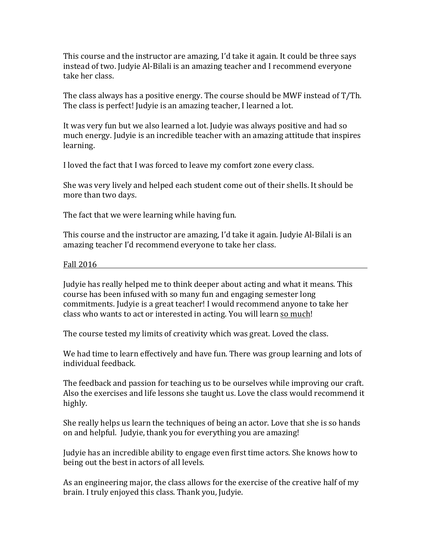This course and the instructor are amazing, I'd take it again. It could be three says instead of two. Judyie Al-Bilali is an amazing teacher and I recommend everyone take her class.

The class always has a positive energy. The course should be MWF instead of  $T/Th$ . The class is perfect! Judyie is an amazing teacher, I learned a lot.

It was very fun but we also learned a lot. Judyie was always positive and had so much energy. Judyie is an incredible teacher with an amazing attitude that inspires learning. 

I loved the fact that I was forced to leave my comfort zone every class.

She was very lively and helped each student come out of their shells. It should be more than two days.

The fact that we were learning while having fun.

This course and the instructor are amazing, I'd take it again. Judyie Al-Bilali is an amazing teacher I'd recommend everyone to take her class.

### Fall 2016

Judyie has really helped me to think deeper about acting and what it means. This course has been infused with so many fun and engaging semester long commitments. Judyie is a great teacher! I would recommend anyone to take her class who wants to act or interested in acting. You will learn so much!

The course tested my limits of creativity which was great. Loved the class.

We had time to learn effectively and have fun. There was group learning and lots of individual feedback.

The feedback and passion for teaching us to be ourselves while improving our craft. Also the exercises and life lessons she taught us. Love the class would recommend it highly.

She really helps us learn the techniques of being an actor. Love that she is so hands on and helpful. Judyie, thank you for everything you are amazing!

Judyie has an incredible ability to engage even first time actors. She knows how to being out the best in actors of all levels.

As an engineering major, the class allows for the exercise of the creative half of my brain. I truly enjoyed this class. Thank you, Judyie.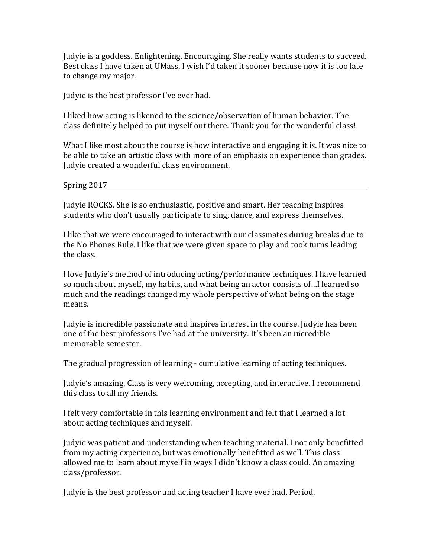Judyie is a goddess. Enlightening. Encouraging. She really wants students to succeed. Best class I have taken at UMass. I wish I'd taken it sooner because now it is too late to change my major.

Judyie is the best professor I've ever had.

I liked how acting is likened to the science/observation of human behavior. The class definitely helped to put myself out there. Thank you for the wonderful class!

What I like most about the course is how interactive and engaging it is. It was nice to be able to take an artistic class with more of an emphasis on experience than grades. Judyie created a wonderful class environment.

Spring 2017

Judyie ROCKS. She is so enthusiastic, positive and smart. Her teaching inspires students who don't usually participate to sing, dance, and express themselves.

I like that we were encouraged to interact with our classmates during breaks due to the No Phones Rule. I like that we were given space to play and took turns leading the class.

I love Judyie's method of introducing acting/performance techniques. I have learned so much about myself, my habits, and what being an actor consists of...I learned so much and the readings changed my whole perspective of what being on the stage means.

Judyie is incredible passionate and inspires interest in the course. Judyie has been one of the best professors I've had at the university. It's been an incredible memorable semester.

The gradual progression of learning - cumulative learning of acting techniques.

Judyie's amazing. Class is very welcoming, accepting, and interactive. I recommend this class to all my friends.

I felt very comfortable in this learning environment and felt that I learned a lot about acting techniques and myself.

Judyie was patient and understanding when teaching material. I not only benefitted from my acting experience, but was emotionally benefitted as well. This class allowed me to learn about myself in ways I didn't know a class could. An amazing class/professor.

Judyie is the best professor and acting teacher I have ever had. Period.